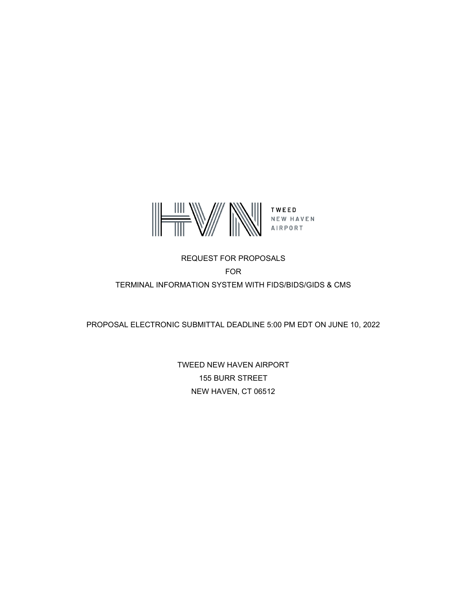

# REQUEST FOR PROPOSALS FOR TERMINAL INFORMATION SYSTEM WITH FIDS/BIDS/GIDS & CMS

PROPOSAL ELECTRONIC SUBMITTAL DEADLINE 5:00 PM EDT ON JUNE 10, 2022

TWEED NEW HAVEN AIRPORT 155 BURR STREET NEW HAVEN, CT 06512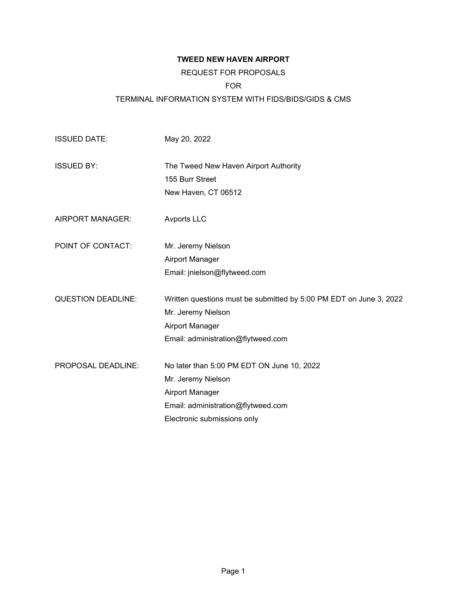# **TWEED NEW HAVEN AIRPORT**

# REQUEST FOR PROPOSALS

## FOR

# TERMINAL INFORMATION SYSTEM WITH FIDS/BIDS/GIDS & CMS

| <b>ISSUED DATE:</b>       | May 20, 2022                                                       |
|---------------------------|--------------------------------------------------------------------|
| <b>ISSUED BY:</b>         | The Tweed New Haven Airport Authority                              |
|                           | 155 Burr Street                                                    |
|                           | New Haven, CT 06512                                                |
| <b>AIRPORT MANAGER:</b>   | <b>Avports LLC</b>                                                 |
| POINT OF CONTACT:         | Mr. Jeremy Nielson                                                 |
|                           | Airport Manager                                                    |
|                           | Email: jnielson@flytweed.com                                       |
| <b>QUESTION DEADLINE:</b> | Written questions must be submitted by 5:00 PM EDT on June 3, 2022 |
|                           | Mr. Jeremy Nielson                                                 |
|                           | Airport Manager                                                    |
|                           | Email: administration@flytweed.com                                 |
| PROPOSAL DEADLINE:        | No later than 5:00 PM EDT ON June 10, 2022                         |
|                           | Mr. Jeremy Nielson                                                 |
|                           | Airport Manager                                                    |
|                           | Email: administration@flytweed.com                                 |
|                           | Electronic submissions only                                        |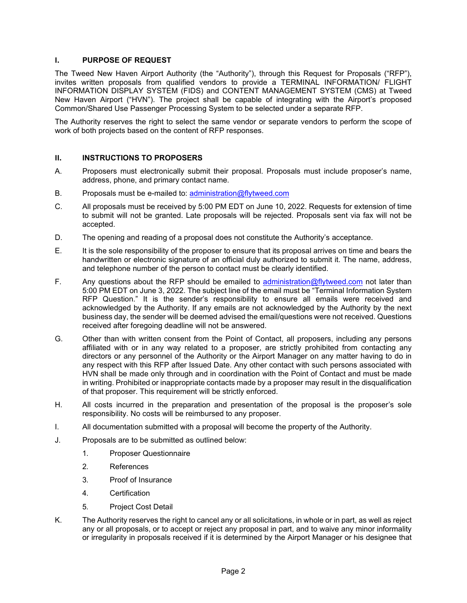# **I. PURPOSE OF REQUEST**

The Tweed New Haven Airport Authority (the "Authority"), through this Request for Proposals ("RFP"), invites written proposals from qualified vendors to provide a TERMINAL INFORMATION/ FLIGHT INFORMATION DISPLAY SYSTEM (FIDS) and CONTENT MANAGEMENT SYSTEM (CMS) at Tweed New Haven Airport ("HVN"). The project shall be capable of integrating with the Airport's proposed Common/Shared Use Passenger Processing System to be selected under a separate RFP.

The Authority reserves the right to select the same vendor or separate vendors to perform the scope of work of both projects based on the content of RFP responses.

## **II. INSTRUCTIONS TO PROPOSERS**

- A. Proposers must electronically submit their proposal. Proposals must include proposer's name, address, phone, and primary contact name.
- B. Proposals must be e-mailed to: administration@flytweed.com
- C. All proposals must be received by 5:00 PM EDT on June 10, 2022. Requests for extension of time to submit will not be granted. Late proposals will be rejected. Proposals sent via fax will not be accepted.
- D. The opening and reading of a proposal does not constitute the Authority's acceptance.
- E. It is the sole responsibility of the proposer to ensure that its proposal arrives on time and bears the handwritten or electronic signature of an official duly authorized to submit it. The name, address, and telephone number of the person to contact must be clearly identified.
- F. Any questions about the RFP should be emailed to [administration@flytweed.com](mailto:administration@flytweed.com) not later than 5:00 PM EDT on June 3, 2022. The subject line of the email must be "Terminal Information System RFP Question." It is the sender's responsibility to ensure all emails were received and acknowledged by the Authority. If any emails are not acknowledged by the Authority by the next business day, the sender will be deemed advised the email/questions were not received. Questions received after foregoing deadline will not be answered.
- G. Other than with written consent from the Point of Contact, all proposers, including any persons affiliated with or in any way related to a proposer, are strictly prohibited from contacting any directors or any personnel of the Authority or the Airport Manager on any matter having to do in any respect with this RFP after Issued Date. Any other contact with such persons associated with HVN shall be made only through and in coordination with the Point of Contact and must be made in writing. Prohibited or inappropriate contacts made by a proposer may result in the disqualification of that proposer. This requirement will be strictly enforced.
- H. All costs incurred in the preparation and presentation of the proposal is the proposer's sole responsibility. No costs will be reimbursed to any proposer.
- I. All documentation submitted with a proposal will become the property of the Authority.
- J. Proposals are to be submitted as outlined below:
	- 1. Proposer Questionnaire
	- 2. References
	- 3. Proof of Insurance
	- 4. Certification
	- 5. Project Cost Detail
- K. The Authority reserves the right to cancel any or all solicitations, in whole or in part, as well as reject any or all proposals, or to accept or reject any proposal in part, and to waive any minor informality or irregularity in proposals received if it is determined by the Airport Manager or his designee that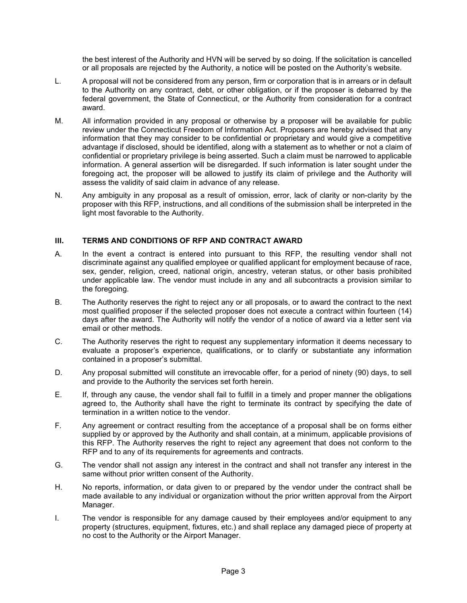the best interest of the Authority and HVN will be served by so doing. If the solicitation is cancelled or all proposals are rejected by the Authority, a notice will be posted on the Authority's website.

- L. A proposal will not be considered from any person, firm or corporation that is in arrears or in default to the Authority on any contract, debt, or other obligation, or if the proposer is debarred by the federal government, the State of Connecticut, or the Authority from consideration for a contract award.
- M. All information provided in any proposal or otherwise by a proposer will be available for public review under the Connecticut Freedom of Information Act. Proposers are hereby advised that any information that they may consider to be confidential or proprietary and would give a competitive advantage if disclosed, should be identified, along with a statement as to whether or not a claim of confidential or proprietary privilege is being asserted. Such a claim must be narrowed to applicable information. A general assertion will be disregarded. If such information is later sought under the foregoing act, the proposer will be allowed to justify its claim of privilege and the Authority will assess the validity of said claim in advance of any release.
- N. Any ambiguity in any proposal as a result of omission, error, lack of clarity or non-clarity by the proposer with this RFP, instructions, and all conditions of the submission shall be interpreted in the light most favorable to the Authority.

# **III. TERMS AND CONDITIONS OF RFP AND CONTRACT AWARD**

- A. In the event a contract is entered into pursuant to this RFP, the resulting vendor shall not discriminate against any qualified employee or qualified applicant for employment because of race, sex, gender, religion, creed, national origin, ancestry, veteran status, or other basis prohibited under applicable law. The vendor must include in any and all subcontracts a provision similar to the foregoing.
- B. The Authority reserves the right to reject any or all proposals, or to award the contract to the next most qualified proposer if the selected proposer does not execute a contract within fourteen (14) days after the award. The Authority will notify the vendor of a notice of award via a letter sent via email or other methods.
- C. The Authority reserves the right to request any supplementary information it deems necessary to evaluate a proposer's experience, qualifications, or to clarify or substantiate any information contained in a proposer's submittal.
- D. Any proposal submitted will constitute an irrevocable offer, for a period of ninety (90) days, to sell and provide to the Authority the services set forth herein.
- E. If, through any cause, the vendor shall fail to fulfill in a timely and proper manner the obligations agreed to, the Authority shall have the right to terminate its contract by specifying the date of termination in a written notice to the vendor.
- F. Any agreement or contract resulting from the acceptance of a proposal shall be on forms either supplied by or approved by the Authority and shall contain, at a minimum, applicable provisions of this RFP. The Authority reserves the right to reject any agreement that does not conform to the RFP and to any of its requirements for agreements and contracts.
- G. The vendor shall not assign any interest in the contract and shall not transfer any interest in the same without prior written consent of the Authority.
- H. No reports, information, or data given to or prepared by the vendor under the contract shall be made available to any individual or organization without the prior written approval from the Airport Manager.
- I. The vendor is responsible for any damage caused by their employees and/or equipment to any property (structures, equipment, fixtures, etc.) and shall replace any damaged piece of property at no cost to the Authority or the Airport Manager.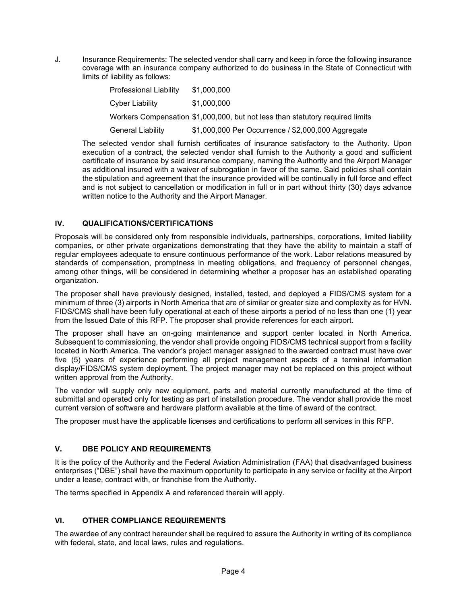J. Insurance Requirements: The selected vendor shall carry and keep in force the following insurance coverage with an insurance company authorized to do business in the State of Connecticut with limits of liability as follows:

| <b>Professional Liability</b> | \$1,000,000                                                                   |
|-------------------------------|-------------------------------------------------------------------------------|
| Cyber Liability               | \$1,000,000                                                                   |
|                               | Workers Compensation \$1,000,000, but not less than statutory required limits |
| <b>General Liability</b>      | \$1,000,000 Per Occurrence / \$2,000,000 Aggregate                            |

The selected vendor shall furnish certificates of insurance satisfactory to the Authority. Upon execution of a contract, the selected vendor shall furnish to the Authority a good and sufficient certificate of insurance by said insurance company, naming the Authority and the Airport Manager as additional insured with a waiver of subrogation in favor of the same. Said policies shall contain the stipulation and agreement that the insurance provided will be continually in full force and effect and is not subject to cancellation or modification in full or in part without thirty (30) days advance written notice to the Authority and the Airport Manager.

# **IV. QUALIFICATIONS/CERTIFICATIONS**

Proposals will be considered only from responsible individuals, partnerships, corporations, limited liability companies, or other private organizations demonstrating that they have the ability to maintain a staff of regular employees adequate to ensure continuous performance of the work. Labor relations measured by standards of compensation, promptness in meeting obligations, and frequency of personnel changes, among other things, will be considered in determining whether a proposer has an established operating organization.

The proposer shall have previously designed, installed, tested, and deployed a FIDS/CMS system for a minimum of three (3) airports in North America that are of similar or greater size and complexity as for HVN. FIDS/CMS shall have been fully operational at each of these airports a period of no less than one (1) year from the Issued Date of this RFP. The proposer shall provide references for each airport.

The proposer shall have an on-going maintenance and support center located in North America. Subsequent to commissioning, the vendor shall provide ongoing FIDS/CMS technical support from a facility located in North America. The vendor's project manager assigned to the awarded contract must have over five (5) years of experience performing all project management aspects of a terminal information display/FIDS/CMS system deployment. The project manager may not be replaced on this project without written approval from the Authority.

The vendor will supply only new equipment, parts and material currently manufactured at the time of submittal and operated only for testing as part of installation procedure. The vendor shall provide the most current version of software and hardware platform available at the time of award of the contract.

The proposer must have the applicable licenses and certifications to perform all services in this RFP.

# **V. DBE POLICY AND REQUIREMENTS**

It is the policy of the Authority and the Federal Aviation Administration (FAA) that disadvantaged business enterprises ("DBE") shall have the maximum opportunity to participate in any service or facility at the Airport under a lease, contract with, or franchise from the Authority.

The terms specified in Appendix A and referenced therein will apply.

# **VI. OTHER COMPLIANCE REQUIREMENTS**

The awardee of any contract hereunder shall be required to assure the Authority in writing of its compliance with federal, state, and local laws, rules and regulations.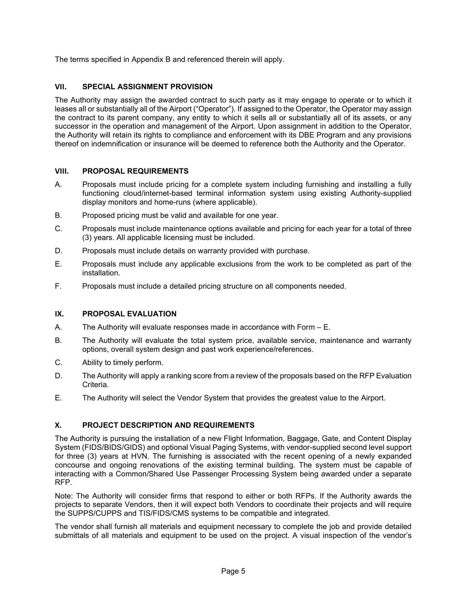The terms specified in Appendix B and referenced therein will apply.

# **VII. SPECIAL ASSIGNMENT PROVISION**

The Authority may assign the awarded contract to such party as it may engage to operate or to which it leases all or substantially all of the Airport ("Operator"). If assigned to the Operator, the Operator may assign the contract to its parent company, any entity to which it sells all or substantially all of its assets, or any successor in the operation and management of the Airport. Upon assignment in addition to the Operator, the Authority will retain its rights to compliance and enforcement with its DBE Program and any provisions thereof on indemnification or insurance will be deemed to reference both the Authority and the Operator.

# **VIII. PROPOSAL REQUIREMENTS**

- A. Proposals must include pricing for a complete system including furnishing and installing a fully functioning cloud/internet-based terminal information system using existing Authority-supplied display monitors and home-runs (where applicable).
- B. Proposed pricing must be valid and available for one year.
- C. Proposals must include maintenance options available and pricing for each year for a total of three (3) years. All applicable licensing must be included.
- D. Proposals must include details on warranty provided with purchase.
- E. Proposals must include any applicable exclusions from the work to be completed as part of the installation.
- F. Proposals must include a detailed pricing structure on all components needed.

# **IX. PROPOSAL EVALUATION**

- A. The Authority will evaluate responses made in accordance with Form E.
- B. The Authority will evaluate the total system price, available service, maintenance and warranty options, overall system design and past work experience/references.
- C. Ability to timely perform.
- D. The Authority will apply a ranking score from a review of the proposals based on the RFP Evaluation Criteria.
- E. The Authority will select the Vendor System that provides the greatest value to the Airport.

# **X. PROJECT DESCRIPTION AND REQUIREMENTS**

The Authority is pursuing the installation of a new Flight Information, Baggage, Gate, and Content Display System (FIDS/BIDS/GIDS) and optional Visual Paging Systems, with vendor-supplied second level support for three (3) years at HVN. The furnishing is associated with the recent opening of a newly expanded concourse and ongoing renovations of the existing terminal building. The system must be capable of interacting with a Common/Shared Use Passenger Processing System being awarded under a separate RFP.

Note: The Authority will consider firms that respond to either or both RFPs. If the Authority awards the projects to separate Vendors, then it will expect both Vendors to coordinate their projects and will require the SUPPS/CUPPS and TIS/FIDS/CMS systems to be compatible and integrated.

The vendor shall furnish all materials and equipment necessary to complete the job and provide detailed submittals of all materials and equipment to be used on the project. A visual inspection of the vendor's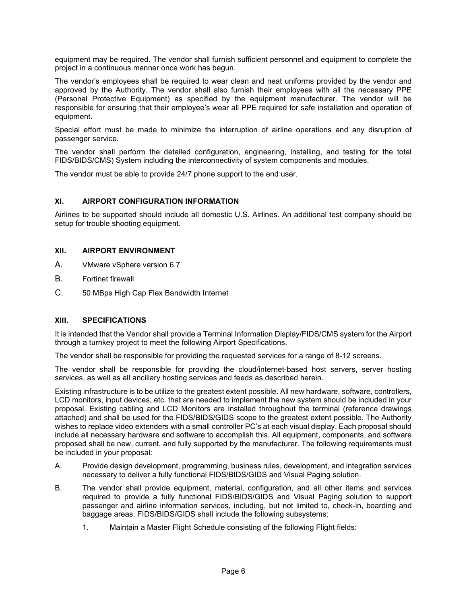equipment may be required. The vendor shall furnish sufficient personnel and equipment to complete the project in a continuous manner once work has begun.

The vendor's employees shall be required to wear clean and neat uniforms provided by the vendor and approved by the Authority. The vendor shall also furnish their employees with all the necessary PPE (Personal Protective Equipment) as specified by the equipment manufacturer. The vendor will be responsible for ensuring that their employee's wear all PPE required for safe installation and operation of equipment.

Special effort must be made to minimize the interruption of airline operations and any disruption of passenger service.

The vendor shall perform the detailed configuration, engineering, installing, and testing for the total FIDS/BIDS/CMS) System including the interconnectivity of system components and modules.

The vendor must be able to provide 24/7 phone support to the end user.

# **XI. AIRPORT CONFIGURATION INFORMATION**

Airlines to be supported should include all domestic U.S. Airlines. An additional test company should be setup for trouble shooting equipment.

## **XII. AIRPORT ENVIRONMENT**

- A. VMware vSphere version 6.7
- B. Fortinet firewall
- C. 50 MBps High Cap Flex Bandwidth Internet

#### **XIII. SPECIFICATIONS**

It is intended that the Vendor shall provide a Terminal Information Display/FIDS/CMS system for the Airport through a turnkey project to meet the following Airport Specifications.

The vendor shall be responsible for providing the requested services for a range of 8-12 screens.

The vendor shall be responsible for providing the cloud/internet-based host servers, server hosting services, as well as all ancillary hosting services and feeds as described herein.

Existing infrastructure is to be utilize to the greatest extent possible. All new hardware, software, controllers, LCD monitors, input devices, etc. that are needed to implement the new system should be included in your proposal. Existing cabling and LCD Monitors are installed throughout the terminal (reference drawings attached) and shall be used for the FIDS/BIDS/GIDS scope to the greatest extent possible. The Authority wishes to replace video extenders with a small controller PC's at each visual display. Each proposal should include all necessary hardware and software to accomplish this. All equipment, components, and software proposed shall be new, current, and fully supported by the manufacturer. The following requirements must be included in your proposal:

- A. Provide design development, programming, business rules, development, and integration services necessary to deliver a fully functional FIDS/BIDS/GIDS and Visual Paging solution.
- B. The vendor shall provide equipment, material, configuration, and all other items and services required to provide a fully functional FIDS/BIDS/GIDS and Visual Paging solution to support passenger and airline information services, including, but not limited to, check-in, boarding and baggage areas. FIDS/BIDS/GIDS shall include the following subsystems:
	- 1. Maintain a Master Flight Schedule consisting of the following Flight fields: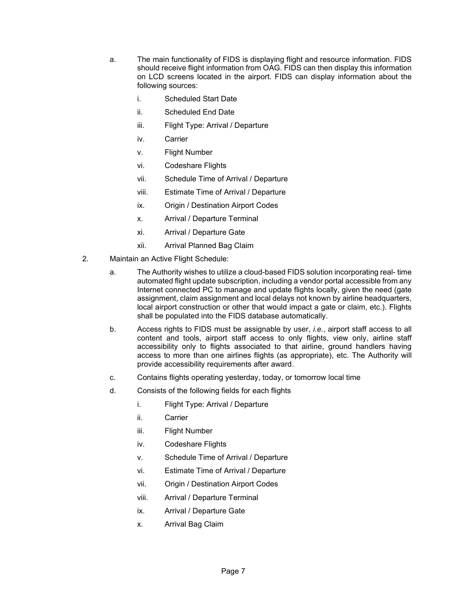- a. The main functionality of FIDS is displaying flight and resource information. FIDS should receive flight information from OAG. FIDS can then display this information on LCD screens located in the airport. FIDS can display information about the following sources:
	- i. Scheduled Start Date
	- ii. Scheduled End Date
	- iii. Flight Type: Arrival / Departure
	- iv. Carrier
	- v. Flight Number
	- vi. Codeshare Flights
	- vii. Schedule Time of Arrival / Departure
	- viii. Estimate Time of Arrival / Departure
	- ix. Origin / Destination Airport Codes
	- x. Arrival / Departure Terminal
	- xi. Arrival / Departure Gate
	- xii. Arrival Planned Bag Claim
- 2. Maintain an Active Flight Schedule:
	- a. The Authority wishes to utilize a cloud-based FIDS solution incorporating real- time automated flight update subscription, including a vendor portal accessible from any Internet connected PC to manage and update flights locally, given the need (gate assignment, claim assignment and local delays not known by airline headquarters, local airport construction or other that would impact a gate or claim, etc.). Flights shall be populated into the FIDS database automatically.
	- b. Access rights to FIDS must be assignable by user, *i.e.*, airport staff access to all content and tools, airport staff access to only flights, view only, airline staff accessibility only to flights associated to that airline, ground handlers having access to more than one airlines flights (as appropriate), etc. The Authority will provide accessibility requirements after award.
	- c. Contains flights operating yesterday, today, or tomorrow local time
	- d. Consists of the following fields for each flights
		- i. Flight Type: Arrival / Departure
		- ii. Carrier
		- iii. Flight Number
		- iv. Codeshare Flights
		- v. Schedule Time of Arrival / Departure
		- vi. Estimate Time of Arrival / Departure
		- vii. Origin / Destination Airport Codes
		- viii. Arrival / Departure Terminal
		- ix. Arrival / Departure Gate
		- x. Arrival Bag Claim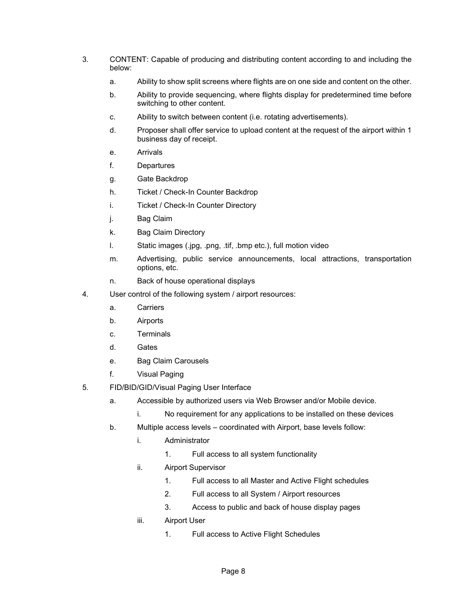- 3. CONTENT: Capable of producing and distributing content according to and including the below:
	- a. Ability to show split screens where flights are on one side and content on the other.
	- b. Ability to provide sequencing, where flights display for predetermined time before switching to other content.
	- c. Ability to switch between content (i.e. rotating advertisements).
	- d. Proposer shall offer service to upload content at the request of the airport within 1 business day of receipt.
	- e. Arrivals
	- f. Departures
	- g. Gate Backdrop
	- h. Ticket / Check-In Counter Backdrop
	- i. Ticket / Check-In Counter Directory
	- j. Bag Claim
	- k. Bag Claim Directory
	- l. Static images (.jpg, .png, .tif, .bmp etc.), full motion video
	- m. Advertising, public service announcements, local attractions, transportation options, etc.
	- n. Back of house operational displays
- 4. User control of the following system / airport resources:
	- a. Carriers
	- b. Airports
	- c. Terminals
	- d. Gates
	- e. Bag Claim Carousels
	- f. Visual Paging
- 5. FID/BID/GID/Visual Paging User Interface
	- a. Accessible by authorized users via Web Browser and/or Mobile device.
		- i. No requirement for any applications to be installed on these devices
	- b. Multiple access levels coordinated with Airport, base levels follow:
		- i. Administrator
			- 1. Full access to all system functionality
		- ii. Airport Supervisor
			- 1. Full access to all Master and Active Flight schedules
			- 2. Full access to all System / Airport resources
			- 3. Access to public and back of house display pages
		- iii. Airport User
			- 1. Full access to Active Flight Schedules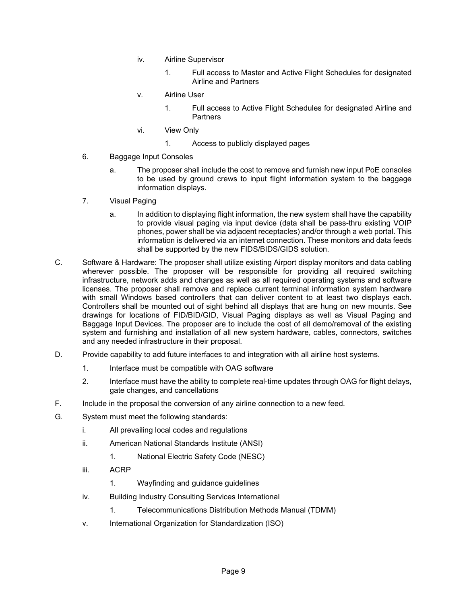- iv. Airline Supervisor
	- 1. Full access to Master and Active Flight Schedules for designated Airline and Partners
- v. Airline User
	- 1. Full access to Active Flight Schedules for designated Airline and **Partners**
- vi. View Only
	- 1. Access to publicly displayed pages
- 6. Baggage Input Consoles
	- a. The proposer shall include the cost to remove and furnish new input PoE consoles to be used by ground crews to input flight information system to the baggage information displays.
- 7. Visual Paging
	- a. In addition to displaying flight information, the new system shall have the capability to provide visual paging via input device (data shall be pass-thru existing VOIP phones, power shall be via adjacent receptacles) and/or through a web portal. This information is delivered via an internet connection. These monitors and data feeds shall be supported by the new FIDS/BIDS/GIDS solution.
- C. Software & Hardware: The proposer shall utilize existing Airport display monitors and data cabling wherever possible. The proposer will be responsible for providing all required switching infrastructure, network adds and changes as well as all required operating systems and software licenses. The proposer shall remove and replace current terminal information system hardware with small Windows based controllers that can deliver content to at least two displays each. Controllers shall be mounted out of sight behind all displays that are hung on new mounts. See drawings for locations of FID/BID/GID, Visual Paging displays as well as Visual Paging and Baggage Input Devices. The proposer are to include the cost of all demo/removal of the existing system and furnishing and installation of all new system hardware, cables, connectors, switches and any needed infrastructure in their proposal.
- D. Provide capability to add future interfaces to and integration with all airline host systems.
	- 1. Interface must be compatible with OAG software
	- 2. Interface must have the ability to complete real-time updates through OAG for flight delays, gate changes, and cancellations
- F. Include in the proposal the conversion of any airline connection to a new feed.
- G. System must meet the following standards:
	- i. All prevailing local codes and regulations
	- ii. American National Standards Institute (ANSI)
		- 1. National Electric Safety Code (NESC)
	- iii. ACRP
		- 1. Wayfinding and guidance guidelines
	- iv. Building Industry Consulting Services International
		- 1. Telecommunications Distribution Methods Manual (TDMM)
	- v. International Organization for Standardization (ISO)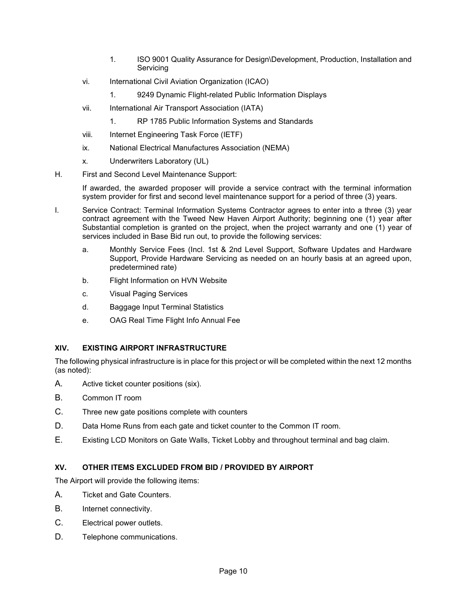- 1. ISO 9001 Quality Assurance for Design\Development, Production, Installation and **Servicing**
- vi. International Civil Aviation Organization (ICAO)
	- 1. 9249 Dynamic Flight-related Public Information Displays
- vii. International Air Transport Association (IATA)
	- 1. RP 1785 Public Information Systems and Standards
- viii. Internet Engineering Task Force (IETF)
- ix. National Electrical Manufactures Association (NEMA)
- x. Underwriters Laboratory (UL)
- H. First and Second Level Maintenance Support:

If awarded, the awarded proposer will provide a service contract with the terminal information system provider for first and second level maintenance support for a period of three (3) years.

- I. Service Contract: Terminal Information Systems Contractor agrees to enter into a three (3) year contract agreement with the Tweed New Haven Airport Authority; beginning one (1) year after Substantial completion is granted on the project, when the project warranty and one (1) year of services included in Base Bid run out, to provide the following services:
	- a. Monthly Service Fees (Incl. 1st & 2nd Level Support, Software Updates and Hardware Support, Provide Hardware Servicing as needed on an hourly basis at an agreed upon, predetermined rate)
	- b. Flight Information on HVN Website
	- c. Visual Paging Services
	- d. Baggage Input Terminal Statistics
	- e. OAG Real Time Flight Info Annual Fee

# **XIV. EXISTING AIRPORT INFRASTRUCTURE**

The following physical infrastructure is in place for this project or will be completed within the next 12 months (as noted):

- A. Active ticket counter positions (six).
- B. Common IT room
- C. Three new gate positions complete with counters
- D. Data Home Runs from each gate and ticket counter to the Common IT room.
- E. Existing LCD Monitors on Gate Walls, Ticket Lobby and throughout terminal and bag claim.

#### **XV. OTHER ITEMS EXCLUDED FROM BID / PROVIDED BY AIRPORT**

The Airport will provide the following items:

- A. Ticket and Gate Counters.
- B. Internet connectivity.
- C. Electrical power outlets.
- D. Telephone communications.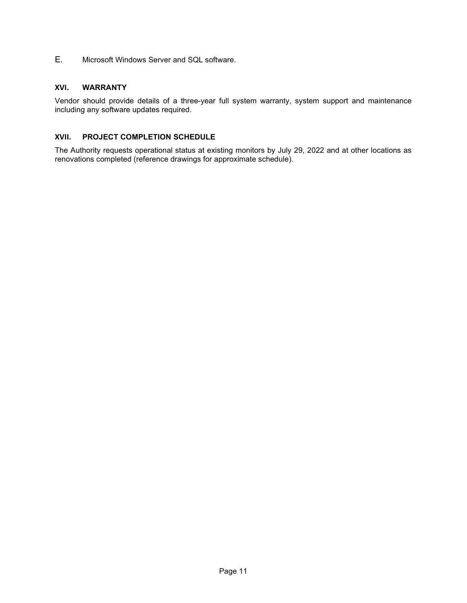E. Microsoft Windows Server and SQL software.

## **XVI. WARRANTY**

Vendor should provide details of a three-year full system warranty, system support and maintenance including any software updates required.

## **XVII. PROJECT COMPLETION SCHEDULE**

The Authority requests operational status at existing monitors by July 29, 2022 and at other locations as renovations completed (reference drawings for approximate schedule).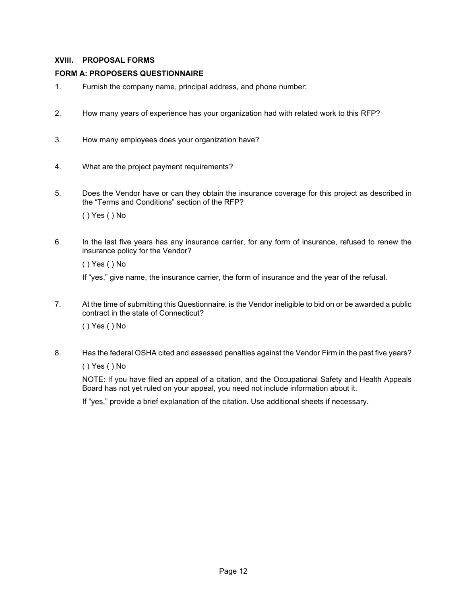# **XVIII. PROPOSAL FORMS**

## **FORM A: PROPOSERS QUESTIONNAIRE**

- 1. Furnish the company name, principal address, and phone number:
- 2. How many years of experience has your organization had with related work to this RFP?
- 3. How many employees does your organization have?
- 4. What are the project payment requirements?
- 5. Does the Vendor have or can they obtain the insurance coverage for this project as described in the "Terms and Conditions" section of the RFP?

( ) Yes ( ) No

6. In the last five years has any insurance carrier, for any form of insurance, refused to renew the insurance policy for the Vendor?

( ) Yes ( ) No

If "yes," give name, the insurance carrier, the form of insurance and the year of the refusal.

7. At the time of submitting this Questionnaire, is the Vendor ineligible to bid on or be awarded a public contract in the state of Connecticut?

( ) Yes ( ) No

8. Has the federal OSHA cited and assessed penalties against the Vendor Firm in the past five years?

( ) Yes ( ) No

NOTE: If you have filed an appeal of a citation, and the Occupational Safety and Health Appeals Board has not yet ruled on your appeal, you need not include information about it.

If "yes," provide a brief explanation of the citation. Use additional sheets if necessary.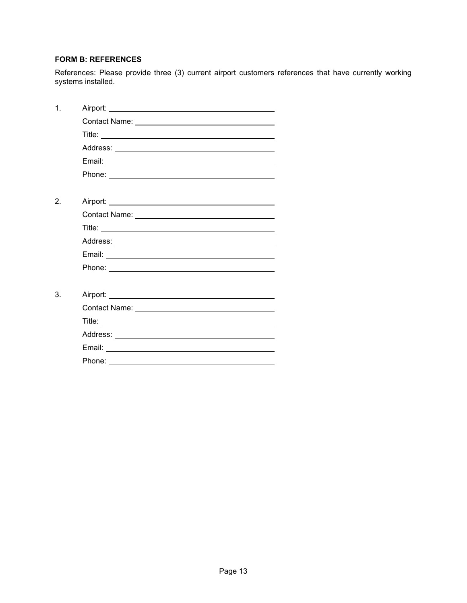# **FORM B: REFERENCES**

References: Please provide three (3) current airport customers references that have currently working systems installed.

| $\mathbf 1$ |                                                                                                                                                                                                                                      |
|-------------|--------------------------------------------------------------------------------------------------------------------------------------------------------------------------------------------------------------------------------------|
|             |                                                                                                                                                                                                                                      |
|             |                                                                                                                                                                                                                                      |
|             |                                                                                                                                                                                                                                      |
|             |                                                                                                                                                                                                                                      |
|             |                                                                                                                                                                                                                                      |
|             |                                                                                                                                                                                                                                      |
| 2.          |                                                                                                                                                                                                                                      |
|             |                                                                                                                                                                                                                                      |
|             |                                                                                                                                                                                                                                      |
|             |                                                                                                                                                                                                                                      |
|             |                                                                                                                                                                                                                                      |
|             | Phone: <u>www.community.com/inductors/inductors/inductors/inductors/inductors/inductors/inductors/inductors/inductors/inductors/inductors/inductors/inductors/inductors/inductors/inductors/inductors/inductors/inductors/induct</u> |
|             |                                                                                                                                                                                                                                      |
| 3.          |                                                                                                                                                                                                                                      |
|             |                                                                                                                                                                                                                                      |
|             |                                                                                                                                                                                                                                      |
|             |                                                                                                                                                                                                                                      |
|             |                                                                                                                                                                                                                                      |
|             |                                                                                                                                                                                                                                      |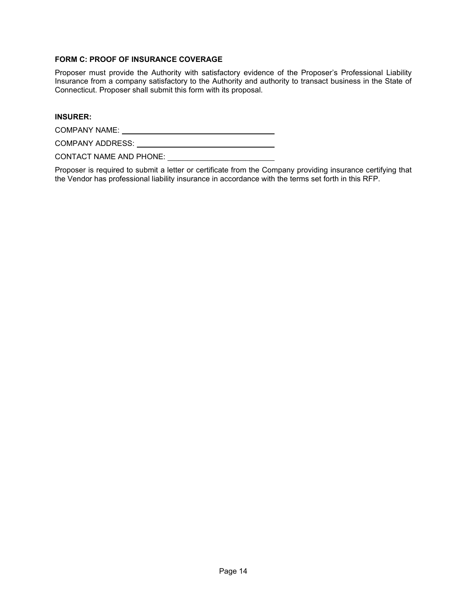## **FORM C: PROOF OF INSURANCE COVERAGE**

Proposer must provide the Authority with satisfactory evidence of the Proposer's Professional Liability Insurance from a company satisfactory to the Authority and authority to transact business in the State of Connecticut. Proposer shall submit this form with its proposal.

#### **INSURER:**

COMPANY NAME:

COMPANY ADDRESS:

CONTACT NAME AND PHONE:

Proposer is required to submit a letter or certificate from the Company providing insurance certifying that the Vendor has professional liability insurance in accordance with the terms set forth in this RFP.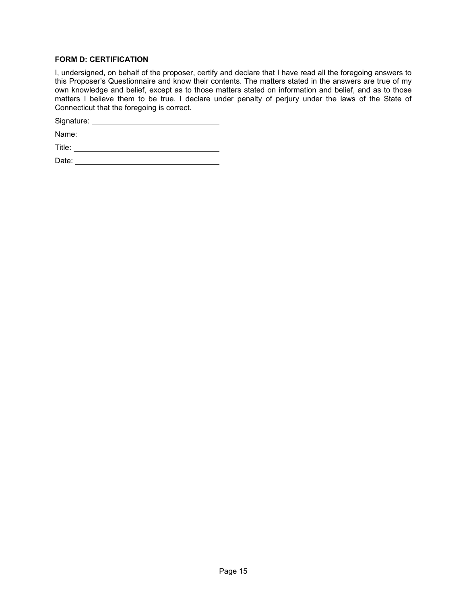## **FORM D: CERTIFICATION**

I, undersigned, on behalf of the proposer, certify and declare that I have read all the foregoing answers to this Proposer's Questionnaire and know their contents. The matters stated in the answers are true of my own knowledge and belief, except as to those matters stated on information and belief, and as to those matters I believe them to be true. I declare under penalty of perjury under the laws of the State of Connecticut that the foregoing is correct.

Signature: \_\_\_\_\_\_\_\_\_\_

Name:

Title:

Date: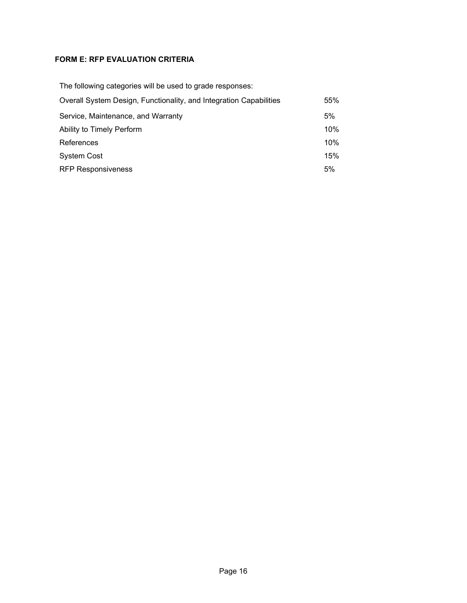# **FORM E: RFP EVALUATION CRITERIA**

| The following categories will be used to grade responses:          |     |
|--------------------------------------------------------------------|-----|
| Overall System Design, Functionality, and Integration Capabilities | 55% |
| Service, Maintenance, and Warranty                                 | 5%  |
| Ability to Timely Perform                                          | 10% |
| References                                                         | 10% |
| <b>System Cost</b>                                                 | 15% |
| <b>RFP Responsiveness</b>                                          | 5%  |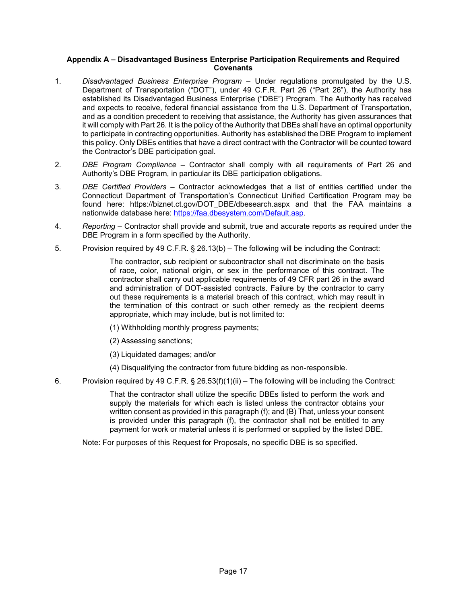## **Appendix A – Disadvantaged Business Enterprise Participation Requirements and Required Covenants**

- 1. *Disadvantaged Business Enterprise Program* Under regulations promulgated by the U.S. Department of Transportation ("DOT"), under 49 C.F.R. Part 26 ("Part 26"), the Authority has established its Disadvantaged Business Enterprise ("DBE") Program. The Authority has received and expects to receive, federal financial assistance from the U.S. Department of Transportation, and as a condition precedent to receiving that assistance, the Authority has given assurances that it will comply with Part 26. It is the policy of the Authority that DBEs shall have an optimal opportunity to participate in contracting opportunities. Authority has established the DBE Program to implement this policy. Only DBEs entities that have a direct contract with the Contractor will be counted toward the Contractor's DBE participation goal.
- 2. *DBE Program Compliance* Contractor shall comply with all requirements of Part 26 and Authority's DBE Program, in particular its DBE participation obligations.
- 3. *DBE Certified Providers* Contractor acknowledges that a list of entities certified under the Connecticut Department of Transportation's Connecticut Unified Certification Program may be found here: https://biznet.ct.gov/DOT\_DBE/dbesearch.aspx and that the FAA maintains a nationwide database here: [https://faa.dbesystem.com/Default.asp.](https://faa.dbesystem.com/Default.asp)
- 4. *Reporting* Contractor shall provide and submit, true and accurate reports as required under the DBE Program in a form specified by the Authority.
- 5. Provision required by 49 C.F.R. § 26.13(b) The following will be including the Contract:

The contractor, sub recipient or subcontractor shall not discriminate on the basis of race, color, national origin, or sex in the performance of this contract. The contractor shall carry out applicable requirements of 49 CFR part 26 in the award and administration of DOT-assisted contracts. Failure by the contractor to carry out these requirements is a material breach of this contract, which may result in the termination of this contract or such other remedy as the recipient deems appropriate, which may include, but is not limited to:

- (1) Withholding monthly progress payments;
- (2) Assessing sanctions;
- (3) Liquidated damages; and/or
- (4) Disqualifying the contractor from future bidding as non-responsible.
- 6. Provision required by 49 C.F.R. § 26.53(f)(1)(ii) The following will be including the Contract:

That the contractor shall utilize the specific DBEs listed to perform the work and supply the materials for which each is listed unless the contractor obtains your written consent as provided in this paragraph (f); and (B) That, unless your consent is provided under this paragraph (f), the contractor shall not be entitled to any payment for work or material unless it is performed or supplied by the listed DBE.

Note: For purposes of this Request for Proposals, no specific DBE is so specified.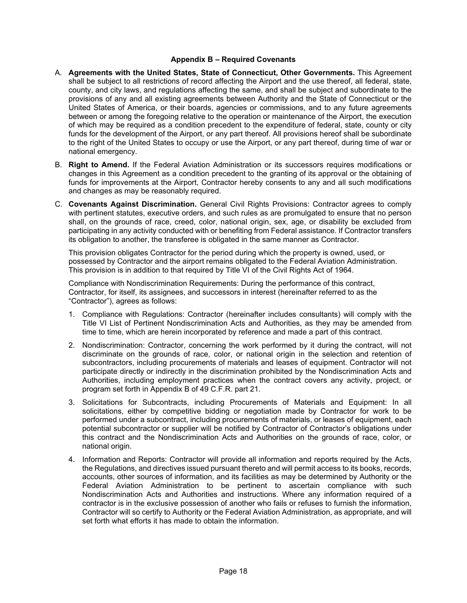#### **Appendix B – Required Covenants**

- A. **Agreements with the United States, State of Connecticut, Other Governments.** This Agreement shall be subject to all restrictions of record affecting the Airport and the use thereof, all federal, state, county, and city laws, and regulations affecting the same, and shall be subject and subordinate to the provisions of any and all existing agreements between Authority and the State of Connecticut or the United States of America, or their boards, agencies or commissions, and to any future agreements between or among the foregoing relative to the operation or maintenance of the Airport, the execution of which may be required as a condition precedent to the expenditure of federal, state, county or city funds for the development of the Airport, or any part thereof. All provisions hereof shall be subordinate to the right of the United States to occupy or use the Airport, or any part thereof, during time of war or national emergency.
- B. **Right to Amend.** If the Federal Aviation Administration or its successors requires modifications or changes in this Agreement as a condition precedent to the granting of its approval or the obtaining of funds for improvements at the Airport, Contractor hereby consents to any and all such modifications and changes as may be reasonably required.
- C. **Covenants Against Discrimination.** General Civil Rights Provisions: Contractor agrees to comply with pertinent statutes, executive orders, and such rules as are promulgated to ensure that no person shall, on the grounds of race, creed, color, national origin, sex, age, or disability be excluded from participating in any activity conducted with or benefiting from Federal assistance. If Contractor transfers its obligation to another, the transferee is obligated in the same manner as Contractor.

This provision obligates Contractor for the period during which the property is owned, used, or possessed by Contractor and the airport remains obligated to the Federal Aviation Administration. This provision is in addition to that required by Title VI of the Civil Rights Act of 1964.

Compliance with Nondiscrimination Requirements: During the performance of this contract, Contractor, for itself, its assignees, and successors in interest (hereinafter referred to as the "Contractor"), agrees as follows:

- 1. Compliance with Regulations: Contractor (hereinafter includes consultants) will comply with the Title VI List of Pertinent Nondiscrimination Acts and Authorities, as they may be amended from time to time, which are herein incorporated by reference and made a part of this contract.
- 2. Nondiscrimination: Contractor, concerning the work performed by it during the contract, will not discriminate on the grounds of race, color, or national origin in the selection and retention of subcontractors, including procurements of materials and leases of equipment. Contractor will not participate directly or indirectly in the discrimination prohibited by the Nondiscrimination Acts and Authorities, including employment practices when the contract covers any activity, project, or program set forth in Appendix B of 49 C.F.R. part 21.
- 3. Solicitations for Subcontracts, including Procurements of Materials and Equipment: In all solicitations, either by competitive bidding or negotiation made by Contractor for work to be performed under a subcontract, including procurements of materials, or leases of equipment, each potential subcontractor or supplier will be notified by Contractor of Contractor's obligations under this contract and the Nondiscrimination Acts and Authorities on the grounds of race, color, or national origin.
- 4. Information and Reports: Contractor will provide all information and reports required by the Acts, the Regulations, and directives issued pursuant thereto and will permit access to its books, records, accounts, other sources of information, and its facilities as may be determined by Authority or the Federal Aviation Administration to be pertinent to ascertain compliance with such Nondiscrimination Acts and Authorities and instructions. Where any information required of a contractor is in the exclusive possession of another who fails or refuses to furnish the information, Contractor will so certify to Authority or the Federal Aviation Administration, as appropriate, and will set forth what efforts it has made to obtain the information.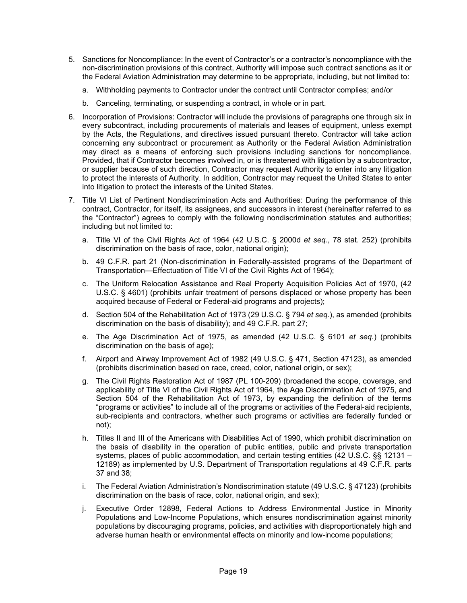- 5. Sanctions for Noncompliance: In the event of Contractor's or a contractor's noncompliance with the non-discrimination provisions of this contract, Authority will impose such contract sanctions as it or the Federal Aviation Administration may determine to be appropriate, including, but not limited to:
	- a. Withholding payments to Contractor under the contract until Contractor complies; and/or
	- b. Canceling, terminating, or suspending a contract, in whole or in part.
- 6. Incorporation of Provisions: Contractor will include the provisions of paragraphs one through six in every subcontract, including procurements of materials and leases of equipment, unless exempt by the Acts, the Regulations, and directives issued pursuant thereto. Contractor will take action concerning any subcontract or procurement as Authority or the Federal Aviation Administration may direct as a means of enforcing such provisions including sanctions for noncompliance. Provided, that if Contractor becomes involved in, or is threatened with litigation by a subcontractor, or supplier because of such direction, Contractor may request Authority to enter into any litigation to protect the interests of Authority. In addition, Contractor may request the United States to enter into litigation to protect the interests of the United States.
- 7. Title VI List of Pertinent Nondiscrimination Acts and Authorities: During the performance of this contract, Contractor, for itself, its assignees, and successors in interest (hereinafter referred to as the "Contractor") agrees to comply with the following nondiscrimination statutes and authorities; including but not limited to:
	- a. Title VI of the Civil Rights Act of 1964 (42 U.S.C. § 2000d *et seq.*, 78 stat. 252) (prohibits discrimination on the basis of race, color, national origin);
	- b. 49 C.F.R. part 21 (Non-discrimination in Federally-assisted programs of the Department of Transportation—Effectuation of Title VI of the Civil Rights Act of 1964);
	- c. The Uniform Relocation Assistance and Real Property Acquisition Policies Act of 1970, (42 U.S.C. § 4601) (prohibits unfair treatment of persons displaced or whose property has been acquired because of Federal or Federal-aid programs and projects);
	- d. Section 504 of the Rehabilitation Act of 1973 (29 U.S.C. § 794 *et seq.*), as amended (prohibits discrimination on the basis of disability); and 49 C.F.R. part 27;
	- e. The Age Discrimination Act of 1975, as amended (42 U.S.C. § 6101 *et seq.*) (prohibits discrimination on the basis of age);
	- f. Airport and Airway Improvement Act of 1982 (49 U.S.C. § 471, Section 47123), as amended (prohibits discrimination based on race, creed, color, national origin, or sex);
	- g. The Civil Rights Restoration Act of 1987 (PL 100-209) (broadened the scope, coverage, and applicability of Title VI of the Civil Rights Act of 1964, the Age Discrimination Act of 1975, and Section 504 of the Rehabilitation Act of 1973, by expanding the definition of the terms "programs or activities" to include all of the programs or activities of the Federal-aid recipients, sub-recipients and contractors, whether such programs or activities are federally funded or not);
	- h. Titles II and III of the Americans with Disabilities Act of 1990, which prohibit discrimination on the basis of disability in the operation of public entities, public and private transportation systems, places of public accommodation, and certain testing entities (42 U.S.C. §§ 12131 – 12189) as implemented by U.S. Department of Transportation regulations at 49 C.F.R. parts 37 and 38;
	- i. The Federal Aviation Administration's Nondiscrimination statute (49 U.S.C. § 47123) (prohibits discrimination on the basis of race, color, national origin, and sex);
	- j. Executive Order 12898, Federal Actions to Address Environmental Justice in Minority Populations and Low-Income Populations, which ensures nondiscrimination against minority populations by discouraging programs, policies, and activities with disproportionately high and adverse human health or environmental effects on minority and low-income populations;